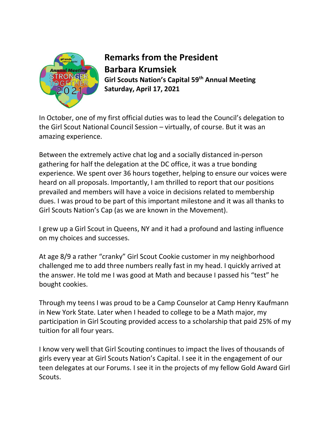

Remarks from the President Barbara Krumsiek Girl Scouts Nation's Capital 59th Annual Meeting Saturday, April 17, 2021

In October, one of my first official duties was to lead the Council's delegation to the Girl Scout National Council Session – virtually, of course. But it was an amazing experience.

Between the extremely active chat log and a socially distanced in-person gathering for half the delegation at the DC office, it was a true bonding experience. We spent over 36 hours together, helping to ensure our voices were heard on all proposals. Importantly, I am thrilled to report that our positions prevailed and members will have a voice in decisions related to membership dues. I was proud to be part of this important milestone and it was all thanks to Girl Scouts Nation's Cap (as we are known in the Movement).

I grew up a Girl Scout in Queens, NY and it had a profound and lasting influence on my choices and successes.

At age 8/9 a rather "cranky" Girl Scout Cookie customer in my neighborhood challenged me to add three numbers really fast in my head. I quickly arrived at the answer. He told me I was good at Math and because I passed his "test" he bought cookies.

Through my teens I was proud to be a Camp Counselor at Camp Henry Kaufmann in New York State. Later when I headed to college to be a Math major, my participation in Girl Scouting provided access to a scholarship that paid 25% of my tuition for all four years.

I know very well that Girl Scouting continues to impact the lives of thousands of girls every year at Girl Scouts Nation's Capital. I see it in the engagement of our teen delegates at our Forums. I see it in the projects of my fellow Gold Award Girl Scouts.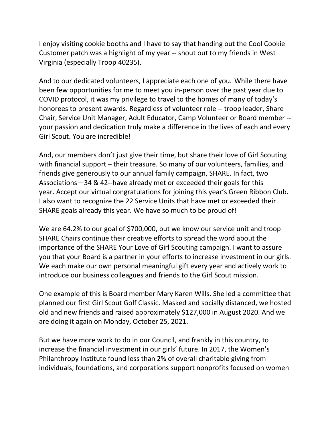I enjoy visiting cookie booths and I have to say that handing out the Cool Cookie Customer patch was a highlight of my year -- shout out to my friends in West Virginia (especially Troop 40235).

And to our dedicated volunteers, I appreciate each one of you. While there have been few opportunities for me to meet you in-person over the past year due to COVID protocol, it was my privilege to travel to the homes of many of today's honorees to present awards. Regardless of volunteer role -- troop leader, Share Chair, Service Unit Manager, Adult Educator, Camp Volunteer or Board member - your passion and dedication truly make a difference in the lives of each and every Girl Scout. You are incredible!

And, our members don't just give their time, but share their love of Girl Scouting with financial support – their treasure. So many of our volunteers, families, and friends give generously to our annual family campaign, SHARE. In fact, two Associations—34 & 42--have already met or exceeded their goals for this year. Accept our virtual congratulations for joining this year's Green Ribbon Club. I also want to recognize the 22 Service Units that have met or exceeded their SHARE goals already this year. We have so much to be proud of!

We are 64.2% to our goal of \$700,000, but we know our service unit and troop SHARE Chairs continue their creative efforts to spread the word about the importance of the SHARE Your Love of Girl Scouting campaign. I want to assure you that your Board is a partner in your efforts to increase investment in our girls. We each make our own personal meaningful gift every year and actively work to introduce our business colleagues and friends to the Girl Scout mission.

One example of this is Board member Mary Karen Wills. She led a committee that planned our first Girl Scout Golf Classic. Masked and socially distanced, we hosted old and new friends and raised approximately \$127,000 in August 2020. And we are doing it again on Monday, October 25, 2021.

But we have more work to do in our Council, and frankly in this country, to increase the financial investment in our girls' future. In 2017, the Women's Philanthropy Institute found less than 2% of overall charitable giving from individuals, foundations, and corporations support nonprofits focused on women